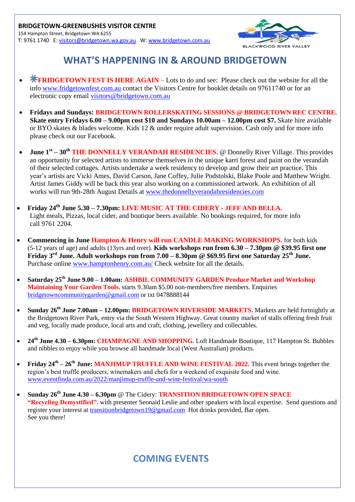

## **WHAT'S HAPPENING IN & AROUND BRIDGETOWN**

- **FRIDGETOWN FEST IS HERE AGAIN** Lots to do and see: Please check out the website for all the info [www.fridgetownfest.com.au](http://www.fridgetownfest.com.au/) contact the Visitors Centre for booklet details on 97611740 or for an electronic copy email [visitors@bridgetown.com.au](mailto:visitors@bridgetown.com.au)
- **Fridays and Sundays: BRIDGETOWN ROLLERSKATING SESSIONS @ BRIDGETOWN REC CENTRE. Skate entry Fridays 6.00 – 9.00pm cost \$10 and Sundays 10.00am – 12.00pm cost \$7.** Skate hire available or BYO skates & blades welcome. Kids 12 & under require adult supervision. Cash only and for more info please check out our Facebook.
- **June 1<sup>st</sup>** 30<sup>th</sup> THE DONNELLY VERANDAH RESIDENCIES. @ Donnelly River Village. This provides an opportunity for selected artists to immerse themselves in the unique karri forest and paint on the verandah of their selected cottages. Artists undertake a week residency to develop and grow their art practice. This year's artists are Vicki Ames, David Carson, Jane Coffey, Julie Podstolski, Blake Poole and Matthew Wright. Artist James Giddy will be back this year also working on a commissioned artwork. An exhibition of all works will run 9th-28th August Details at [www.thedonnellyverandahresidencies.com](http://www.thedonnellyverandahresidencies.com/)
- **Friday 24th June 5.30 – 7.30pm: LIVE MUSIC AT THE CIDERY - JEFF AND BELLA.** Light meals, Pizzas, local cider, and boutique beers available. No bookings required, for more info call 9761 2204.
- **Commencing in June Hampton & Henry will run CANDLE MAKING WORKSHOPS.** for both kids (5-12 years of age) and adults (13yrs and over). **Kids workshops run from 6.30 – 7.30pm @ \$39.95 first one Friday 3rd June. Adult workshops run from 7.00 – 8.30pm @ \$69.95 first one Saturday 25th June.** Purchase online [www.hamptonhenry.com.au/](http://www.hamptonhenry.com.au/) Check website for all the details.
- **Saturday 25th June 9.00 – 1.00am: ASHBIL COMMUNITY GARDEN Produce Market and Workshop Maintaining Your Garden Tools.** starts 9.30am \$5.00 non-members/free members. Enquiries [bridgetowncommunitygarden@gmail.com](mailto:bridgetowncommunitygarden@gmail.com) or txt 0478888144
- **Sunday 26th June 7.00am – 12.00pm: BRIDGETOWN RIVERSIDE MARKETS.** Markets are held fortnightly at the Bridgetown River Park, entry via the South Western Highway. Great country market of stalls offering fresh fruit and veg, locally made produce, local arts and craft, clothing, jewellery and collectables.
- **24th June 4.30 – 6.30pm: CHAMPAGNE AND SHOPPING.** Loft Handmade Boutique, 117 Hampton St. Bubbles and nibbles to enjoy while you browse all handmade local (West Australian) products.
- Friday  $24^{\text{th}} 26^{\text{th}}$  June: MANJIMUP TRUFFLE AND WINE FESTIVAL 2022. This event brings together the region's best truffle producers, winemakers and chefs for a weekend of exquisite food and wine. [www.eventfinda.com.au/2022/manjimup-truffle-and-wine-festival/wa-south](http://www.eventfinda.com.au/2022/manjimup-truffle-and-wine-festival/wa-south)
- **Sunday 26th June 4.30 – 6.30pm** @ The Cidery: **TRANSITION BRIDGETOWN OPEN SPACE "Recycling Demystified".** with presenter Seonaid Leslie and other speakers with local expertise. Send questions and register your interest at [transitionbridgetown19@gmail.com](mailto:transitionbridgetown19@gmail.com) Hot drinks provided, Bar open. See you there!

## **COMING EVENTS**